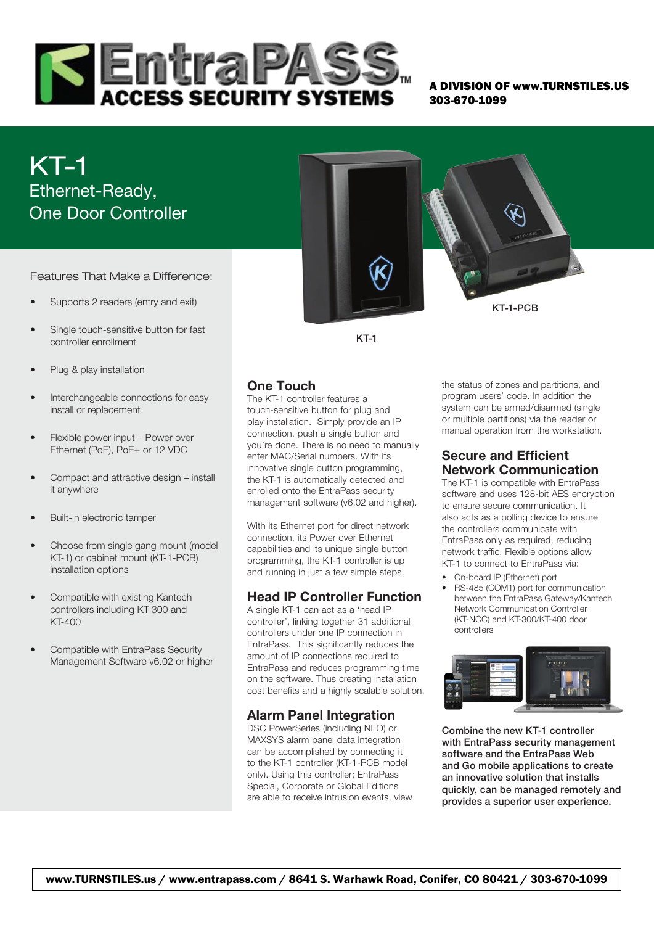

A DIVISION OF www.TURNSTILES.US 303-670-1099

# KT-1 Ethernet-Ready, One Door Controller

Features That Make a Difference:

- Supports 2 readers (entry and exit)
- Single touch-sensitive button for fast controller enrollment
- Plug & play installation
- Interchangeable connections for easy install or replacement
- Flexible power input Power over Ethernet (PoE), PoE+ or 12 VDC
- Compact and attractive design install it anywhere
- Built-in electronic tamper
- Choose from single gang mount (model KT-1) or cabinet mount (KT-1-PCB) installation options
- Compatible with existing Kantech controllers including KT-300 and KT-400
- Compatible with EntraPass Security Management Software v6.02 or higher

KT-1-PCB

KT-1

# One Touch

The KT-1 controller features a touch-sensitive button for plug and play installation. Simply provide an IP connection, push a single button and you're done. There is no need to manually enter MAC/Serial numbers. With its innovative single button programming, the KT-1 is automatically detected and enrolled onto the EntraPass security management software (v6.02 and higher).

With its Ethernet port for direct network connection, its Power over Ethernet capabilities and its unique single button programming, the KT-1 controller is up and running in just a few simple steps.

## Head IP Controller Function

A single KT-1 can act as a 'head IP controller', linking together 31 additional controllers under one IP connection in EntraPass. This significantly reduces the amount of IP connections required to EntraPass and reduces programming time on the software. Thus creating installation cost benefits and a highly scalable solution.

## Alarm Panel Integration

DSC PowerSeries (including NEO) or MAXSYS alarm panel data integration can be accomplished by connecting it to the KT-1 controller (KT-1-PCB model only). Using this controller; EntraPass Special, Corporate or Global Editions are able to receive intrusion events, view

the status of zones and partitions, and program users' code. In addition the system can be armed/disarmed (single or multiple partitions) via the reader or manual operation from the workstation.

# Secure and Efficient Network Communication

The KT-1 is compatible with EntraPass software and uses 128-bit AES encryption to ensure secure communication. It also acts as a polling device to ensure the controllers communicate with EntraPass only as required, reducing network traffic. Flexible options allow KT-1 to connect to EntraPass via:

- On-board IP (Ethernet) port
- RS-485 (COM1) port for communication between the EntraPass Gateway/Kantech Network Communication Controller (KT-NCC) and KT-300/KT-400 door controllers



Combine the new KT-1 controller with EntraPass security management software and the EntraPass Web and Go mobile applications to create an innovative solution that installs quickly, can be managed remotely and provides a superior user experience.